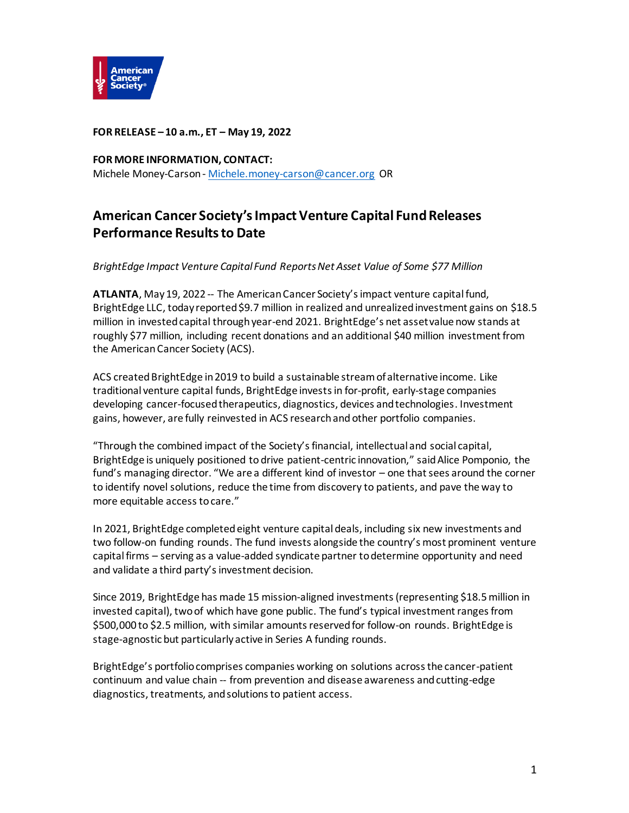

**FOR RELEASE – 10 a.m., ET – May 19, 2022** 

**FOR MORE INFORMATION, CONTACT:** Michele Money-Carson - [Michele.money-carson@cancer.org](mailto:Michele.money-carson@cancer.org) OR

## **American Cancer Society's Impact Venture Capital Fund Releases Performance Results to Date**

*BrightEdge Impact Venture Capital Fund Reports Net Asset Value of Some \$77 Million*

**ATLANTA**, May 19, 2022 -- The American Cancer Society's impact venture capital fund, BrightEdge LLC, today reported \$9.7 million in realized and unrealized investment gains on \$18.5 million in invested capital through year-end 2021. BrightEdge's net asset value now stands at roughly \$77 million, including recent donations and an additional \$40 million investment from the American Cancer Society (ACS).

ACS created BrightEdge in 2019 to build a sustainable stream of alternative income. Like traditional venture capital funds, BrightEdge investsin for-profit, early-stage companies developing cancer-focused therapeutics, diagnostics, devices and technologies. Investment gains, however, are fully reinvested in ACS research and other portfolio companies.

"Through the combined impact of the Society's financial, intellectual and social capital, BrightEdge is uniquely positioned to drive patient-centric innovation," said Alice Pomponio, the fund's managing director. "We are a different kind of investor – one that sees around the corner to identify novel solutions, reduce the time from discovery to patients, and pave the way to more equitable access to care."

In 2021, BrightEdge completedeight venture capital deals, including six new investments and two follow-on funding rounds. The fund invests alongside the country's most prominent venture capital firms – serving as a value-added syndicate partner to determine opportunity and need and validate a third party's investment decision.

Since 2019, BrightEdge has made 15 mission-aligned investments(representing \$18.5 million in invested capital), two of which have gone public. The fund's typical investment ranges from \$500,000 to \$2.5 million, with similar amounts reserved for follow-on rounds. BrightEdge is stage-agnostic but particularly active in Series A funding rounds.

BrightEdge's portfolio comprises companies working on solutions across the cancer-patient continuum and value chain -- from prevention and disease awareness and cutting-edge diagnostics, treatments, and solutions to patient access.